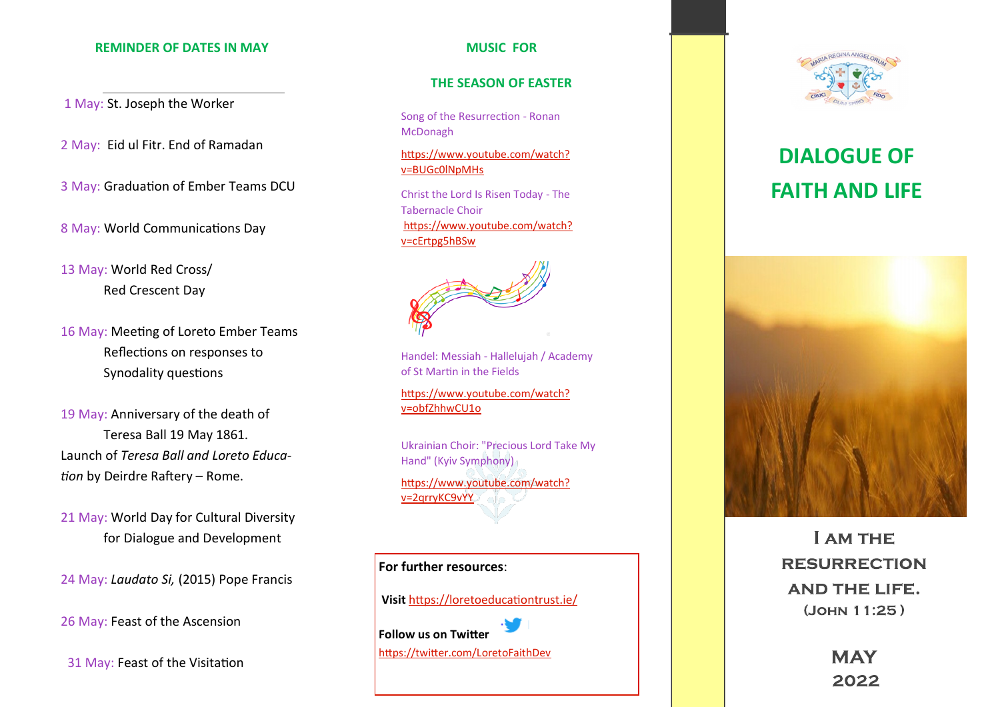#### **REMINDER OF DATES IN MAY**

1 May: St. Joseph the Worker

2 May: Eid ul Fitr. End of Ramadan

3 May: Graduation of Ember Teams DCU

8 May: World Communications Day

13 May: World Red Cross/ Red Crescent Day

16 May: Meeting of Loreto Ember Teams Reflections on responses to Synodality questions

19 May: Anniversary of the death of Teresa Ball 19 May 1861. Launch of *Teresa Ball and Loreto Education* by Deirdre Raftery – Rome.

21 May: World Day for Cultural Diversity for Dialogue and Development

24 May: *Laudato Si,* (2015) Pope Francis

26 May: Feast of the Ascension

31 May: Feast of the Visitation

### **MUSIC FOR**

#### **THE SEASON OF EASTER**

Song of the Resurrection - Ronan McDonagh

[https://www.youtube.com/watch?](https://www.youtube.com/watch?v=BUGc0lNpMHs) [v=BUGc0lNpMHs](https://www.youtube.com/watch?v=BUGc0lNpMHs)

Christ the Lord Is Risen Today - The Tabernacle Choir [https://www.youtube.com/watch?](https://www.youtube.com/watch?v=cErtpg5hBSw) [v=cErtpg5hBSw](https://www.youtube.com/watch?v=cErtpg5hBSw)

Handel: Messiah - Hallelujah / Academy of St Martin in the Fields

[https://www.youtube.com/watch?](https://www.youtube.com/watch?v=obfZhhwCU1o) [v=obfZhhwCU1o](https://www.youtube.com/watch?v=obfZhhwCU1o)

Ukrainian Choir: "Precious Lord Take My Hand" (Kyiv Symphony) [https://www.youtube.com/watch?](https://www.youtube.com/watch?v=2qrryKC9vYY) [v=2qrryKC9vYY](https://www.youtube.com/watch?v=2qrryKC9vYY)





# **DIALOGUE OF FAITH AND LIFE**



**LAM THE RESURRECTION AND THE LIFE.** (JOHN 11:25)

> **MAY** 2022